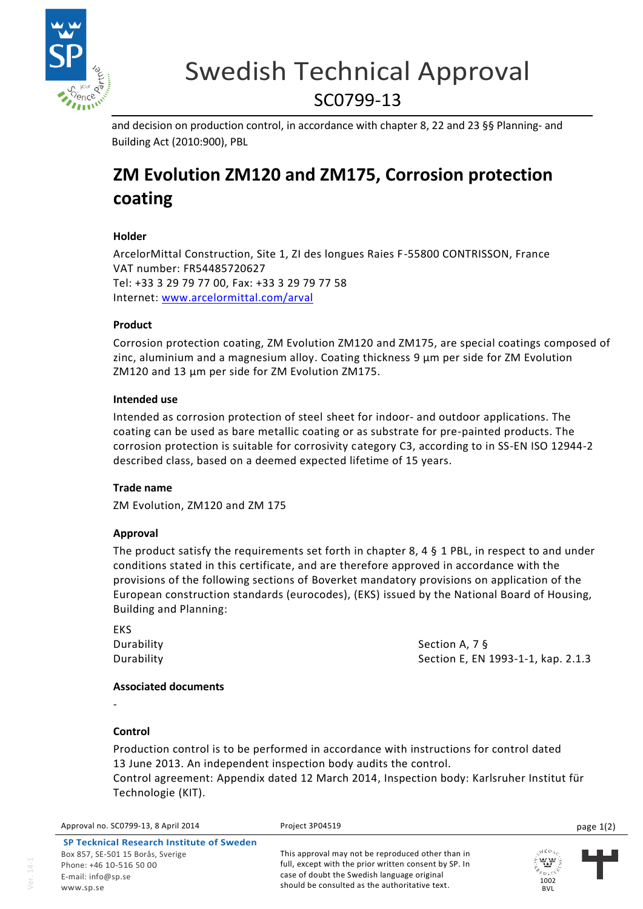

# Swedish Technical Approval SC0799-13

and decision on production control, in accordance with chapter 8, 22 and 23 §§ Planning- and Building Act (2010:900), PBL

# **ZM Evolution ZM120 and ZM175, Corrosion protection coating**

## **Holder**

ArcelorMittal Construction, Site 1, ZI des longues Raies F-55800 CONTRISSON, France VAT number: FR54485720627 Tel: +33 3 29 79 77 00, Fax: +33 3 29 79 77 58 Internet: [www.arcelormittal.com/arval](http://www.arcelormittal.com/arval)

## **Product**

Corrosion protection coating, ZM Evolution ZM120 and ZM175, are special coatings composed of zinc, aluminium and a magnesium alloy. Coating thickness 9 μm per side for ZM Evolution ZM120 and 13 μm per side for ZM Evolution ZM175.

#### **Intended use**

Intended as corrosion protection of steel sheet for indoor- and outdoor applications. The coating can be used as bare metallic coating or as substrate for pre-painted products. The corrosion protection is suitable for corrosivity category C3, according to in SS-EN ISO 12944-2 described class, based on a deemed expected lifetime of 15 years.

#### **Trade name**

ZM Evolution, ZM120 and ZM 175

#### **Approval**

The product satisfy the requirements set forth in chapter 8, 4 § 1 PBL, in respect to and under conditions stated in this certificate, and are therefore approved in accordance with the provisions of the following sections of Boverket mandatory provisions on application of the European construction standards (eurocodes), (EKS) issued by the National Board of Housing, Building and Planning:

EKS

Durability Section A, 7 § Durability **Section E**, EN 1993-1-1, kap. 2.1.3

#### **Associated documents**

-

#### **Control**

Production control is to be performed in accordance with instructions for control dated 13 June 2013. An independent inspection body audits the control.

Control agreement: Appendix dated 12 March 2014, Inspection body: Karlsruher Institut für Technologie (KIT).

Approval no. SC0799-13, 8 April 2014 **Project 3P04519** Project 3P04519 **page 1(2)** page 1(2)

**SP Tecknical Research Institute of Sweden** Box 857, SE-501 15 Borås, Sverige Phone: +46 10-516 50 00 E-mail: info@sp.se www.sp.se

This approval may not be reproduced other than in full, except with the prior written consent by SP. In case of doubt the Swedish language original should be consulted as the authoritative text.